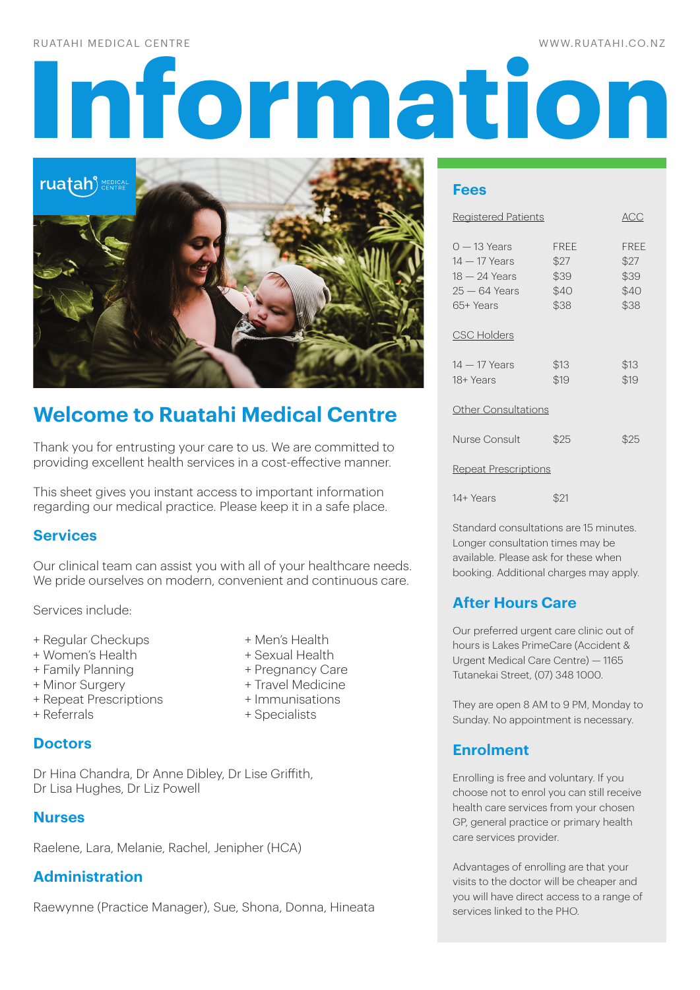### RUATAHI MEDICAL CENTRE

# **INFORMATION CONTRESS (SERVICE ACCEPTANCE DE LA CONTRESSE) DE LA CONTRATION DE LA CONTRATION DE LA CONTRATION DE LA CONTRATION DE LA CONTRATION DE LA CONTRATION DE LA CONTRATION DE LA CONTRATION DE LA CONTRATION DE LA CONT**



# **Welcome to Ruatahi Medical Centre**

Thank you for entrusting your care to us. We are committed to providing excellent health services in a cost-effective manner.

This sheet gives you instant access to important information regarding our medical practice. Please keep it in a safe place.

### **Services**

Our clinical team can assist you with all of your healthcare needs. We pride ourselves on modern, convenient and continuous care.

Services include:

- + Regular Checkups + Men's Health
- + Women's Health + Sexual Health
- + Family Planning + Pregnancy Care
- + Minor Surgery + Travel Medicine
- + Repeat Prescriptions + Immunisations<br>+ Referrals + Specialists
- 
- 
- 
- 
- 
- + Specialists

**Doctors**

Dr Hina Chandra, Dr Anne Dibley, Dr Lise Griffith, Dr Lisa Hughes, Dr Liz Powell

### **Nurses**

Raelene, Lara, Melanie, Rachel, Jenipher (HCA)

### **Administration**

Raewynne (Practice Manager), Sue, Shona, Donna, Hineata

### **Fees**

| <b>Registered Patients</b>                                                       |                                             | ACC                                         |
|----------------------------------------------------------------------------------|---------------------------------------------|---------------------------------------------|
| $0 - 13$ Years<br>$14-17$ Years<br>18 — 24 Years<br>$25 - 64$ Years<br>65+ Years | <b>FREE</b><br>\$27<br>\$39<br>\$40<br>\$38 | <b>FREE</b><br>\$27<br>\$39<br>\$40<br>\$38 |
| <b>CSC Holders</b>                                                               |                                             |                                             |
| 14 — 17 Years<br>18+ Years                                                       | \$13<br>\$19                                | \$13<br>\$19                                |
| <b>Other Consultations</b>                                                       |                                             |                                             |
| Nurse Consult                                                                    | \$25                                        | \$25                                        |
| <b>Repeat Prescriptions</b>                                                      |                                             |                                             |

14+ Years \$21

Standard consultations are 15 minutes. Longer consultation times may be available. Please ask for these when booking. Additional charges may apply.

## **After Hours Care**

Our preferred urgent care clinic out of hours is Lakes PrimeCare (Accident & Urgent Medical Care Centre) — 1165 Tutanekai Street, (07) 348 1000.

They are open 8 AM to 9 PM, Monday to Sunday. No appointment is necessary.

### **Enrolment**

Enrolling is free and voluntary. If you choose not to enrol you can still receive health care services from your chosen GP, general practice or primary health care services provider.

Advantages of enrolling are that your visits to the doctor will be cheaper and you will have direct access to a range of services linked to the PHO.